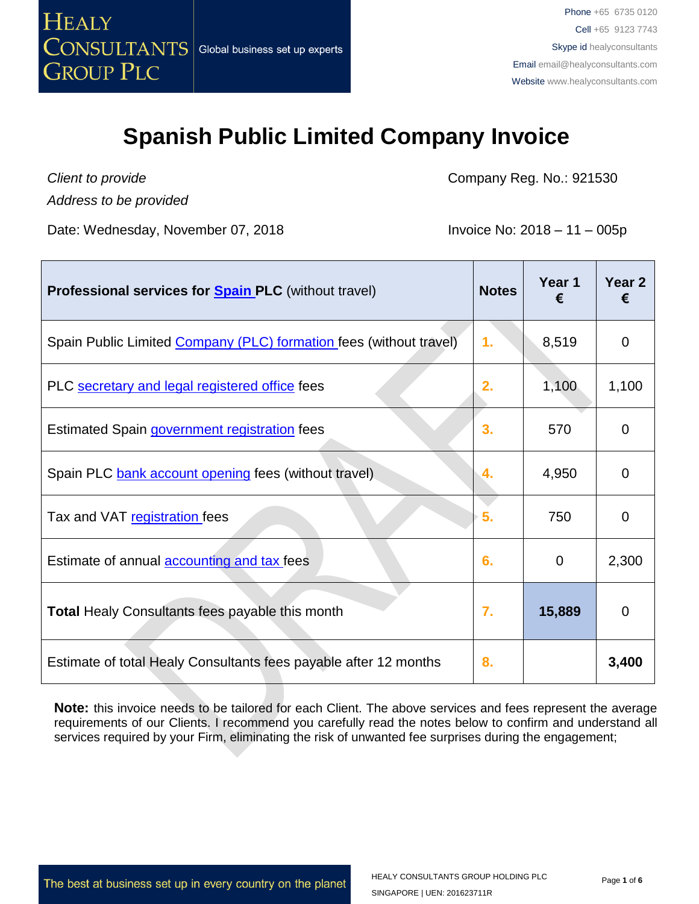

*Client to provide*

*Address to be provided*

Company Reg. No.: 921530

Date: Wednesday, November 07, 2018 **Invoice No: 2018 – 11 – 005p** 

| <b>Professional services for Spain PLC</b> (without travel)        | <b>Notes</b> | Year 1<br>€ | Year <sub>2</sub><br>€ |
|--------------------------------------------------------------------|--------------|-------------|------------------------|
| Spain Public Limited Company (PLC) formation fees (without travel) | 1.           | 8,519       | 0                      |
| PLC secretary and legal registered office fees                     | 2.           | 1,100       | 1,100                  |
| Estimated Spain government registration fees                       | 3.           | 570         | 0                      |
| Spain PLC bank account opening fees (without travel)               | 4.           | 4,950       | $\Omega$               |
| Tax and VAT registration fees                                      | 5.           | 750         | $\mathbf{0}$           |
| Estimate of annual <b>accounting and tax</b> fees                  | 6.           | $\Omega$    | 2,300                  |
| <b>Total Healy Consultants fees payable this month</b>             | 7.           | 15,889      | 0                      |
| Estimate of total Healy Consultants fees payable after 12 months   | 8.           |             | 3,400                  |

**Note:** this invoice needs to be tailored for each Client. The above services and fees represent the average requirements of our Clients. I recommend you carefully read the notes below to confirm and understand all services required by your Firm, eliminating the risk of unwanted fee surprises during the engagement;

The best at business set up in every country on the planet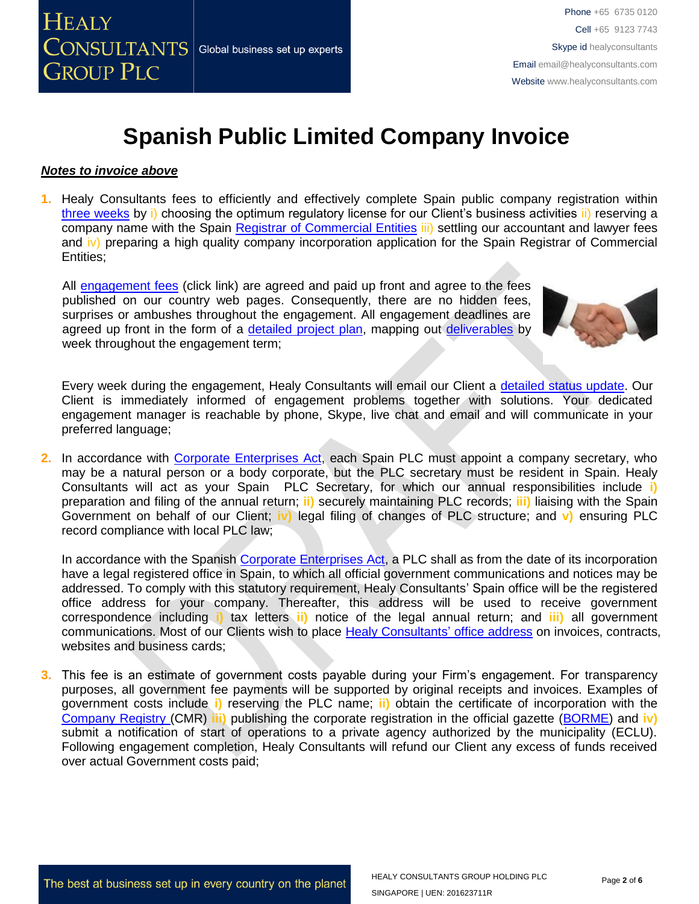

#### *Notes to invoice above*

**1.** Healy Consultants fees to efficiently and effectively complete Spain public company registration within [three weeks](http://www.healyconsultants.com/spain-company-registration/fees-timelines/#timelines) by i) choosing the optimum regulatory license for our Client's business activities ii) reserving a company name with the Spain [Registrar of Commercial Entities](http://www.rmc.es/Home.aspx?lang=en) iii) settling our accountant and lawyer fees and iv) preparing a high quality company incorporation application for the Spain Registrar of Commercial Entities;

All [engagement fees](http://www.healyconsultants.com/company-registration-fees/) (click link) are agreed and paid up front and agree to the fees published on our country web pages. Consequently, there are no hidden fees, surprises or ambushes throughout the engagement. All engagement deadlines are agreed up front in the form of a [detailed project plan,](http://www.healyconsultants.com/index-important-links/example-project-plan/) mapping out [deliverables](http://www.healyconsultants.com/deliverables-to-our-clients/) by week throughout the engagement term;



Every week during the engagement, Healy Consultants will email our Client a [detailed status update.](http://www.healyconsultants.com/index-important-links/weekly-engagement-status-email/) Our Client is immediately informed of engagement problems together with solutions. Your dedicated engagement manager is reachable by phone, Skype, live chat and email and will communicate in your preferred language;

**2.** In accordance with [Corporate Enterprises Act,](http://law.au.dk/fileadmin/www.asb.dk/omasb/institutter/erhvervsjuridiskinstitut/EMCA/Spanish_Act.pdf) each Spain PLC must appoint a company secretary, who may be a natural person or a body corporate, but the PLC secretary must be resident in Spain. Healy Consultants will act as your Spain PLC Secretary, for which our annual responsibilities include **i)**  preparation and filing of the annual return; **ii)** securely maintaining PLC records; **iii)** liaising with the Spain Government on behalf of our Client; **iv)** legal filing of changes of PLC structure; and **v)** ensuring PLC record compliance with local PLC law;

In accordance with the Spanish [Corporate Enterprises Act,](http://law.au.dk/fileadmin/www.asb.dk/omasb/institutter/erhvervsjuridiskinstitut/EMCA/Spanish_Act.pdf) a PLC shall as from the date of its incorporation have a legal registered office in Spain, to which all official government communications and notices may be addressed. To comply with this statutory requirement, Healy Consultants' Spain office will be the registered office address for your company. Thereafter, this address will be used to receive government correspondence including **i)** tax letters **ii)** notice of the legal annual return; and **iii)** all government communications. Most of our Clients wish to place [Healy Consultants'](http://www.healyconsultants.com/corporate-outsourcing-services/company-secretary-and-legal-registered-office/) office address on invoices, contracts, websites and business cards;

**3.** This fee is an estimate of government costs payable during your Firm's engagement. For transparency purposes, all government fee payments will be supported by original receipts and invoices. Examples of government costs include **i)** reserving the PLC name; **ii)** obtain the certificate of incorporation with the [Company Registry \(](http://www.rmc.es/Home.aspx?lang=en)CMR) **iii)** publishing the corporate registration in the official gazette [\(BORME\)](https://www.boe.es/diario_borme/index.php?lang=en) and **iv)** submit a notification of start of operations to a private agency authorized by the municipality (ECLU). Following engagement completion, Healy Consultants will refund our Client any excess of funds received over actual Government costs paid;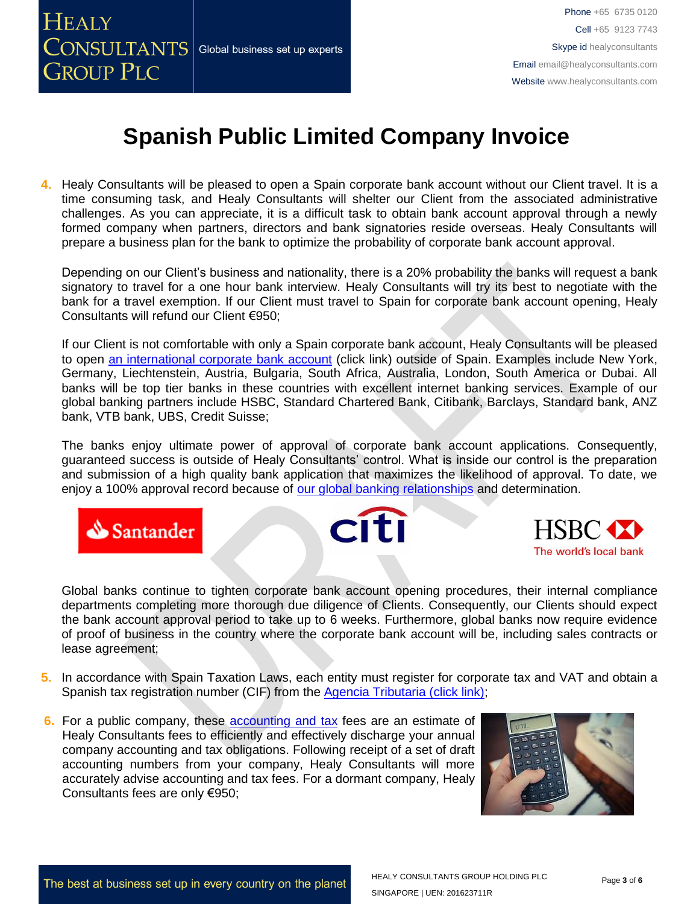

**4.** Healy Consultants will be pleased to open a Spain corporate bank account without our Client travel. It is a time consuming task, and Healy Consultants will shelter our Client from the associated administrative challenges. As you can appreciate, it is a difficult task to obtain bank account approval through a newly formed company when partners, directors and bank signatories reside overseas. Healy Consultants will prepare a business plan for the bank to optimize the probability of corporate bank account approval.

Depending on our Client's business and nationality, there is a 20% probability the banks will request a bank signatory to travel for a one hour bank interview. Healy Consultants will try its best to negotiate with the bank for a travel exemption. If our Client must travel to Spain for corporate bank account opening, Healy Consultants will refund our Client €950;

If our Client is not comfortable with only a Spain corporate bank account, Healy Consultants will be pleased to open [an international corporate bank account](http://www.healyconsultants.com/international-banking/) (click link) outside of Spain. Examples include New York, Germany, Liechtenstein, Austria, Bulgaria, South Africa, Australia, London, South America or Dubai. All banks will be top tier banks in these countries with excellent internet banking services. Example of our global banking partners include HSBC, Standard Chartered Bank, Citibank, Barclays, Standard bank, ANZ bank, VTB bank, UBS, Credit Suisse;

The banks enjoy ultimate power of approval of corporate bank account applications. Consequently, guaranteed success is outside of Healy Consultants' control. What is inside our control is the preparation and submission of a high quality bank application that maximizes the likelihood of approval. To date, we enjoy a 100% approval record because of [our global banking relationships](http://www.healyconsultants.com/international-banking/corporate-accounts/) and determination.







Global banks continue to tighten corporate bank account opening procedures, their internal compliance departments completing more thorough due diligence of Clients. Consequently, our Clients should expect the bank account approval period to take up to 6 weeks. Furthermore, global banks now require evidence of proof of business in the country where the corporate bank account will be, including sales contracts or lease agreement;

- **5.** In accordance with Spain Taxation Laws, each entity must register for corporate tax and VAT and obtain a Spanish tax registration number (CIF) from the [Agencia Tributaria \(click link\);](http://www.agenciatributaria.es/)
- **6.** For a public company, these accounting and tax fees are an estimate of Healy Consultants fees to efficiently and effectively discharge your annual company accounting and tax obligations. Following receipt of a set of draft accounting numbers from your company, Healy Consultants will more accurately advise accounting and tax fees. For a dormant company, Healy Consultants fees are only €950;

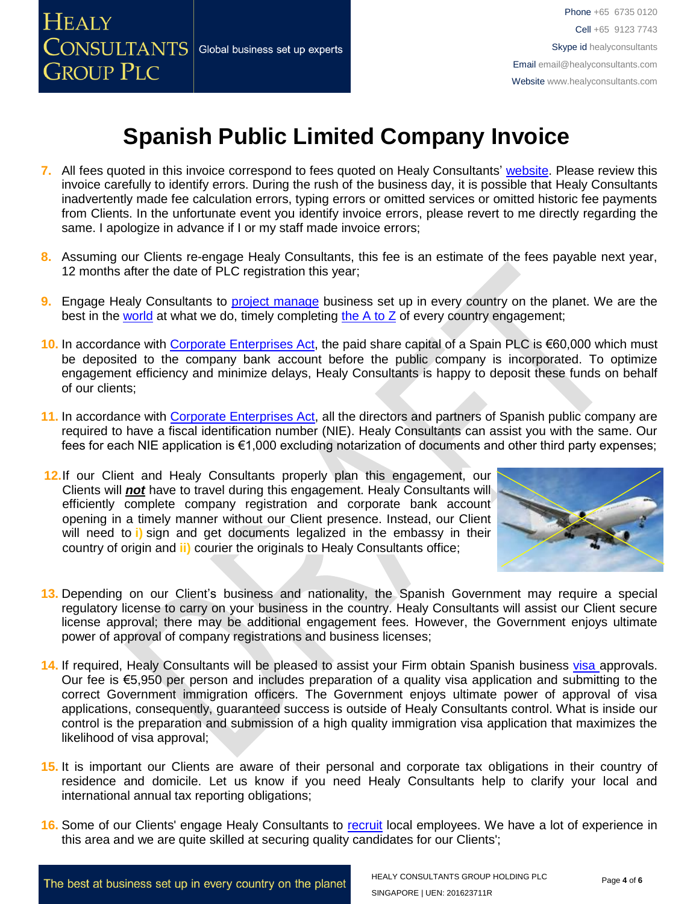

- **7.** All fees quoted in this invoice correspond to fees quoted on Healy Consultants' [website.](http://www.healyconsultants.com/company-registration-fees/) Please review this invoice carefully to identify errors. During the rush of the business day, it is possible that Healy Consultants inadvertently made fee calculation errors, typing errors or omitted services or omitted historic fee payments from Clients. In the unfortunate event you identify invoice errors, please revert to me directly regarding the same. I apologize in advance if I or my staff made invoice errors;
- **8.** Assuming our Clients re-engage Healy Consultants, this fee is an estimate of the fees payable next year, 12 months after the date of PLC registration this year;
- **9.** Engage Healy Consultants to [project manage](http://www.healyconsultants.com/project-manage-engagements/) business set up in every country on the planet. We are the best in the [world](http://www.healyconsultants.com/best-in-the-world/) at what we do, timely completing [the A to Z](http://www.healyconsultants.com/a-to-z-of-business-set-up/) of every country engagement;
- 10. In accordance with [Corporate Enterprises Act,](http://law.au.dk/fileadmin/www.asb.dk/omasb/institutter/erhvervsjuridiskinstitut/EMCA/Spanish_Act.pdf) the paid share capital of a Spain PLC is €60,000 which must be deposited to the company bank account before the public company is incorporated. To optimize engagement efficiency and minimize delays, Healy Consultants is happy to deposit these funds on behalf of our clients;
- 11. In accordance with [Corporate Enterprises Act,](http://law.au.dk/fileadmin/www.asb.dk/omasb/institutter/erhvervsjuridiskinstitut/EMCA/Spanish_Act.pdf) all the directors and partners of Spanish public company are required to have a fiscal identification number (NIE). Healy Consultants can assist you with the same. Our fees for each NIE application is €1,000 excluding notarization of documents and other third party expenses;
- **12.**If our Client and Healy Consultants properly plan this engagement, our Clients will *not* have to travel during this engagement. Healy Consultants will efficiently complete company registration and corporate bank account opening in a timely manner without our Client presence. Instead, our Client will need to **i)** sign and get documents legalized in the embassy in their country of origin and **ii)** courier the originals to Healy Consultants office;



- **13.** Depending on our Client's business and nationality, the Spanish Government may require a special regulatory license to carry on your business in the country. Healy Consultants will assist our Client secure license approval; there may be additional engagement fees. However, the Government enjoys ultimate power of approval of company registrations and business licenses;
- **14.** If required, Healy Consultants will be pleased to assist your Firm obtain Spanish business [visa a](http://www.healyconsultants.com/spain-company-registration/formation-support-services/)pprovals. Our fee is €5,950 per person and includes preparation of a quality visa application and submitting to the correct Government immigration officers. The Government enjoys ultimate power of approval of visa applications, consequently, guaranteed success is outside of Healy Consultants control. What is inside our control is the preparation and submission of a high quality immigration visa application that maximizes the likelihood of visa approval;
- **15.** It is important our Clients are aware of their personal and corporate tax obligations in their country of residence and domicile. Let us know if you need Healy Consultants help to clarify your local and international annual tax reporting obligations;
- **16.** Some of our Clients' engage Healy Consultants to [recruit](http://www.healyconsultants.com/corporate-outsourcing-services/how-we-help-our-clients-recruit-quality-employees/) local employees. We have a lot of experience in this area and we are quite skilled at securing quality candidates for our Clients';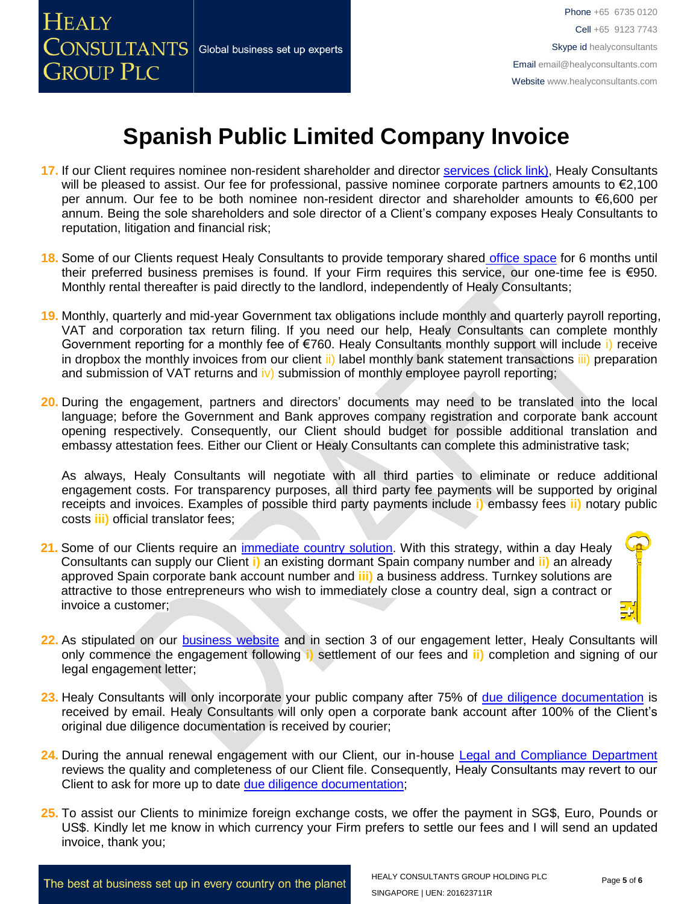

- **17.** If our Client requires nominee non-resident shareholder and director services [\(click link\),](http://www.healyconsultants.com/corporate-outsourcing-services/nominee-shareholders-directors/) Healy Consultants will be pleased to assist. Our fee for professional, passive nominee corporate partners amounts to  $\epsilon$ 2,100 per annum. Our fee to be both nominee non-resident director and shareholder amounts to €6,600 per annum. Being the sole shareholders and sole director of a Client's company exposes Healy Consultants to reputation, litigation and financial risk;
- **18.** Some of our Clients request Healy Consultants to provide temporary shared [office space](http://www.healyconsultants.com/virtual-office/) for 6 months until their preferred business premises is found. If your Firm requires this service, our one-time fee is €950. Monthly rental thereafter is paid directly to the landlord, independently of Healy Consultants;
- **19.** Monthly, quarterly and mid-year Government tax obligations include monthly and quarterly payroll reporting, VAT and corporation tax return filing. If you need our help, Healy Consultants can complete monthly Government reporting for a monthly fee of €760. Healy Consultants monthly support will include i) receive in dropbox the monthly invoices from our client ii) label monthly bank statement transactions iii) preparation and submission of VAT returns and  $|v\rangle$  submission of monthly employee payroll reporting;
- **20.** During the engagement, partners and directors' documents may need to be translated into the local language; before the Government and Bank approves company registration and corporate bank account opening respectively. Consequently, our Client should budget for possible additional translation and embassy attestation fees. Either our Client or Healy Consultants can complete this administrative task;

As always, Healy Consultants will negotiate with all third parties to eliminate or reduce additional engagement costs. For transparency purposes, all third party fee payments will be supported by original receipts and invoices. Examples of possible third party payments include **i)** embassy fees **ii)** notary public costs **iii)** official translator fees;

- **21.** Some of our Clients require an [immediate country solution.](http://www.healyconsultants.com/turnkey-solutions/) With this strategy, within a day Healy Consultants can supply our Client **i)** an existing dormant Spain company number and **ii)** an already approved Spain corporate bank account number and **iii)** a business address. Turnkey solutions are attractive to those entrepreneurs who wish to immediately close a country deal, sign a contract or invoice a customer;
- 22. As stipulated on our **business website** and in section 3 of our engagement letter, Healy Consultants will only commence the engagement following **i)** settlement of our fees and **ii)** completion and signing of our legal engagement letter;
- **23.** Healy Consultants will only incorporate your public company after 75% of [due diligence documentation](http://www.healyconsultants.com/due-diligence/) is received by email. Healy Consultants will only open a corporate bank account after 100% of the Client's original due diligence documentation is received by courier;
- **24.** During the annual renewal engagement with our Client, our in-house [Legal and Compliance Department](http://www.healyconsultants.com/about-us/key-personnel/cai-xin-profile/) reviews the quality and completeness of our Client file. Consequently, Healy Consultants may revert to our Client to ask for more up to date [due diligence documentation;](http://www.healyconsultants.com/due-diligence/)
- **25.** To assist our Clients to minimize foreign exchange costs, we offer the payment in SG\$, Euro, Pounds or US\$. Kindly let me know in which currency your Firm prefers to settle our fees and I will send an updated invoice, thank you;